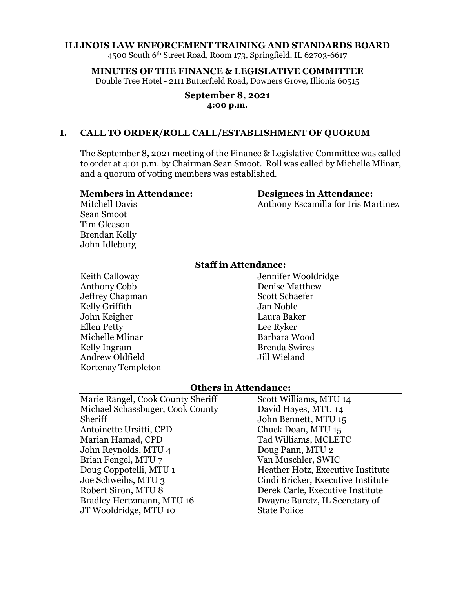#### **ILLINOIS LAW ENFORCEMENT TRAINING AND STANDARDS BOARD**

4500 South 6th Street Road, Room 173, Springfield, IL 62703-6617

#### **MINUTES OF THE FINANCE & LEGISLATIVE COMMITTEE**

Double Tree Hotel - 2111 Butterfield Road, Downers Grove, Illionis 60515

#### **September 8, 2021 4:00 p.m.**

### **I. CALL TO ORDER/ROLL CALL/ESTABLISHMENT OF QUORUM**

The September 8, 2021 meeting of the Finance & Legislative Committee was called to order at 4:01 p.m. by Chairman Sean Smoot. Roll was called by Michelle Mlinar, and a quorum of voting members was established.

#### **Members in Attendance:**

#### **Designees in Attendance:**

Anthony Escamilla for Iris Martinez

Mitchell Davis Sean Smoot Tim Gleason Brendan Kelly John Idleburg

### **Staff in Attendance:**

Keith Calloway Anthony Cobb Jeffrey Chapman Kelly Griffith John Keigher Ellen Petty Michelle Mlinar Kelly Ingram Andrew Oldfield Kortenay Templeton

Jennifer Wooldridge Denise Matthew Scott Schaefer Jan Noble Laura Baker Lee Ryker Barbara Wood Brenda Swires Jill Wieland

#### **Others in Attendance:**

Marie Rangel, Cook County Sheriff Michael Schassbuger, Cook County Sheriff Antoinette Ursitti, CPD Marian Hamad, CPD John Reynolds, MTU 4 Brian Fengel, MTU 7 Doug Coppotelli, MTU 1 Joe Schweihs, MTU 3 Robert Siron, MTU 8 Bradley Hertzmann, MTU 16 JT Wooldridge, MTU 10

Scott Williams, MTU 14 David Hayes, MTU 14 John Bennett, MTU 15 Chuck Doan, MTU 15 Tad Williams, MCLETC Doug Pann, MTU 2 Van Muschler, SWIC Heather Hotz, Executive Institute Cindi Bricker, Executive Institute Derek Carle, Executive Institute Dwayne Buretz, IL Secretary of State Police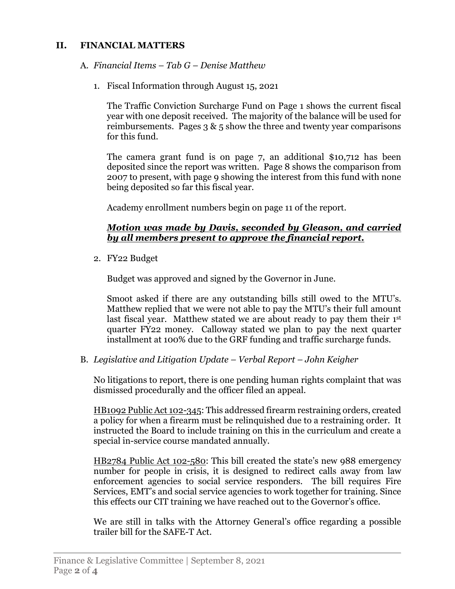## **II. FINANCIAL MATTERS**

## A. *Financial Items – Tab G – Denise Matthew*

1. Fiscal Information through August 15, 2021

The Traffic Conviction Surcharge Fund on Page 1 shows the current fiscal year with one deposit received. The majority of the balance will be used for reimbursements. Pages  $3 \& 5$  show the three and twenty year comparisons for this fund.

The camera grant fund is on page 7, an additional \$10,712 has been deposited since the report was written. Page 8 shows the comparison from 2007 to present, with page 9 showing the interest from this fund with none being deposited so far this fiscal year.

Academy enrollment numbers begin on page 11 of the report.

## *Motion was made by Davis, seconded by Gleason, and carried by all members present to approve the financial report.*

2. FY22 Budget

Budget was approved and signed by the Governor in June.

Smoot asked if there are any outstanding bills still owed to the MTU's. Matthew replied that we were not able to pay the MTU's their full amount last fiscal year. Matthew stated we are about ready to pay them their 1st quarter FY22 money. Calloway stated we plan to pay the next quarter installment at 100% due to the GRF funding and traffic surcharge funds.

B. *Legislative and Litigation Update – Verbal Report – John Keigher*

No litigations to report, there is one pending human rights complaint that was dismissed procedurally and the officer filed an appeal.

HB1092 Public Act 102-345: This addressed firearm restraining orders, created a policy for when a firearm must be relinquished due to a restraining order. It instructed the Board to include training on this in the curriculum and create a special in-service course mandated annually.

HB2784 Public Act 102-580: This bill created the state's new 988 emergency number for people in crisis, it is designed to redirect calls away from law enforcement agencies to social service responders. The bill requires Fire Services, EMT's and social service agencies to work together for training. Since this effects our CIT training we have reached out to the Governor's office.

We are still in talks with the Attorney General's office regarding a possible trailer bill for the SAFE-T Act.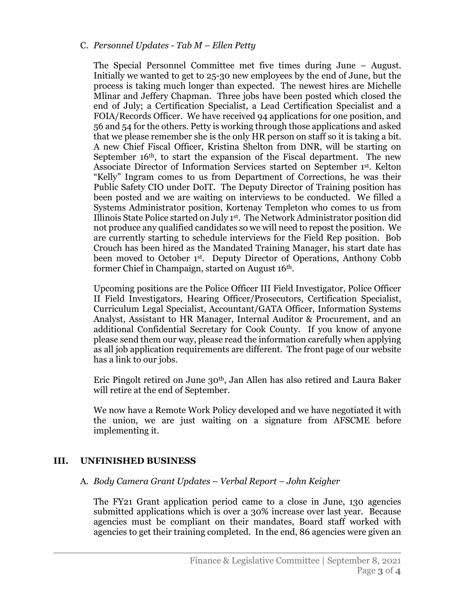### C. *Personnel Updates - Tab M – Ellen Petty*

The Special Personnel Committee met five times during June – August. Initially we wanted to get to 25-30 new employees by the end of June, but the process is taking much longer than expected. The newest hires are Michelle Mlinar and Jeffery Chapman. Three jobs have been posted which closed the end of July; a Certification Specialist, a Lead Certification Specialist and a FOIA/Records Officer. We have received 94 applications for one position, and 56 and 54 for the others. Petty is working through those applications and asked that we please remember she is the only HR person on staff so it is taking a bit. A new Chief Fiscal Officer, Kristina Shelton from DNR, will be starting on September 16<sup>th</sup>, to start the expansion of the Fiscal department. The new Associate Director of Information Services started on September 1st. Kelton "Kelly" Ingram comes to us from Department of Corrections, he was their Public Safety CIO under DoIT. The Deputy Director of Training position has been posted and we are waiting on interviews to be conducted. We filled a Systems Administrator position, Kortenay Templeton who comes to us from Illinois State Police started on July 1st. The Network Administrator position did not produce any qualified candidates so we will need to repost the position. We are currently starting to schedule interviews for the Field Rep position. Bob Crouch has been hired as the Mandated Training Manager, his start date has been moved to October 1st. Deputy Director of Operations, Anthony Cobb former Chief in Champaign, started on August 16th.

Upcoming positions are the Police Officer III Field Investigator, Police Officer II Field Investigators, Hearing Officer/Prosecutors, Certification Specialist, Curriculum Legal Specialist, Accountant/GATA Officer, Information Systems Analyst, Assistant to HR Manager, Internal Auditor & Procurement, and an additional Confidential Secretary for Cook County. If you know of anyone please send them our way, please read the information carefully when applying as all job application requirements are different. The front page of our website has a link to our jobs.

Eric Pingolt retired on June 30th, Jan Allen has also retired and Laura Baker will retire at the end of September.

We now have a Remote Work Policy developed and we have negotiated it with the union, we are just waiting on a signature from AFSCME before implementing it.

## **III. UNFINISHED BUSINESS**

### A. *Body Camera Grant Updates – Verbal Report – John Keigher*

The FY21 Grant application period came to a close in June, 130 agencies submitted applications which is over a 30% increase over last year. Because agencies must be compliant on their mandates, Board staff worked with agencies to get their training completed. In the end, 86 agencies were given an